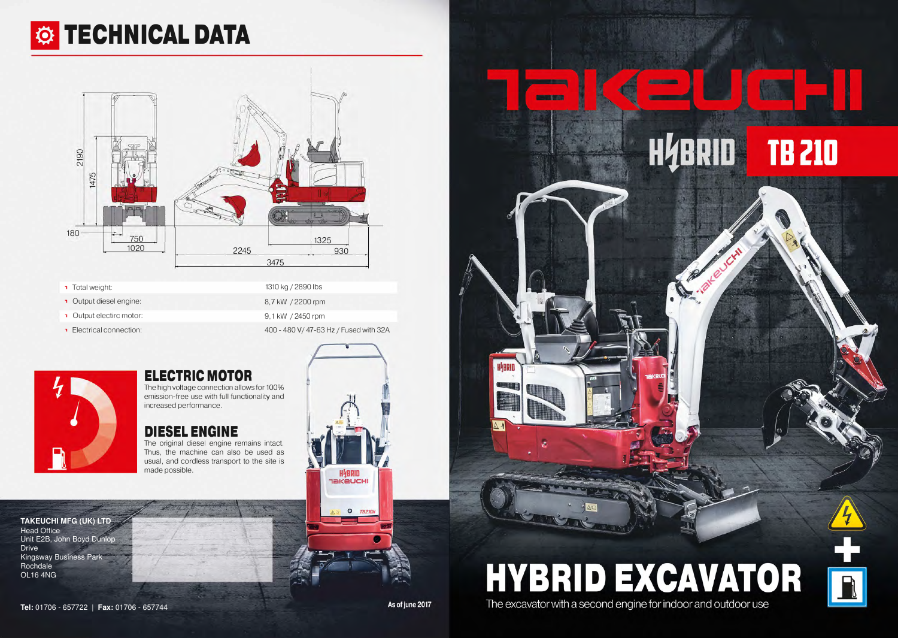1310 kg/ 2890 lbs 8,7 kW/ 2200 rpm 9, 1 kW / 2450 rpm 400 - 480 V/ 47-63 Hz / Fused with 32A

> **HYBRID TAKEUCHI**

> > $\bullet$ **TB210**



# *C***i** TECHNICAL DATA



- Total weight:
- **1** Output diesel engine:
- , Output electirc motor:
- **T** Electrical connection:

### **ELECTRIC MOTOR**

The high voltage connection allows for 100% emission-free use with full functionality and increased performance.

### **DIESEL ENGINE**

The original diesel engine remains intact. Thus, the machine can also be used as usual, and cordless transport to the site is made possible.

**TAKEUCHI MFG (UK) LTD** Head Office Unit E2B, John Boyd Dunlop **Drive** Kingsway Business Park Rochdale OL16 4NG







**HYBRID EXCAVATOR** The excavator with a second engine for indoor and outdoor use

# HABRID **TB 210**